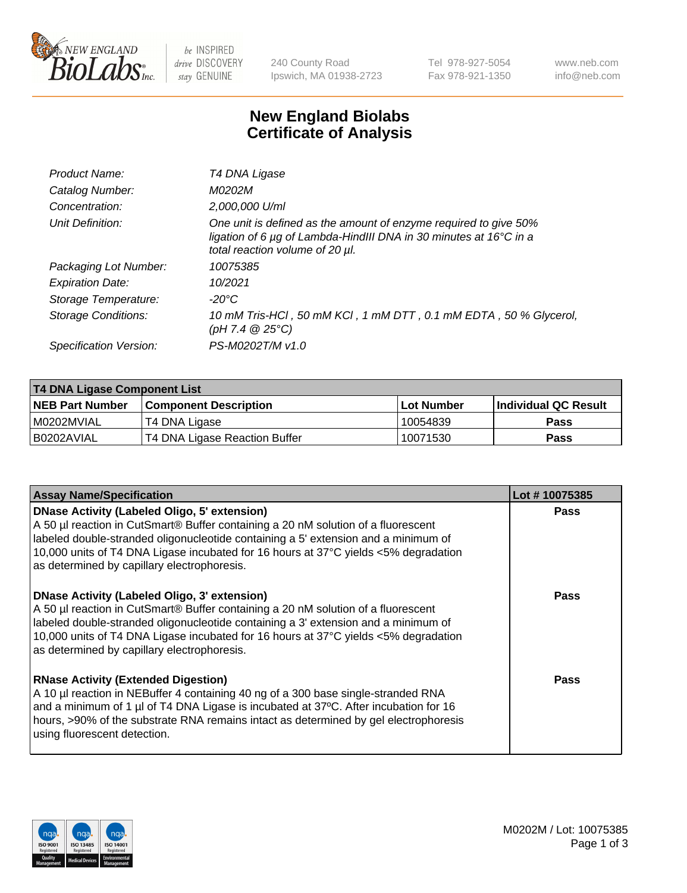

be INSPIRED drive DISCOVERY stay GENUINE

240 County Road Ipswich, MA 01938-2723 Tel 978-927-5054 Fax 978-921-1350 www.neb.com info@neb.com

## **New England Biolabs Certificate of Analysis**

| T4 DNA Ligase                                                                                                                                                            |
|--------------------------------------------------------------------------------------------------------------------------------------------------------------------------|
| M0202M                                                                                                                                                                   |
| 2,000,000 U/ml                                                                                                                                                           |
| One unit is defined as the amount of enzyme required to give 50%<br>ligation of 6 µg of Lambda-HindIII DNA in 30 minutes at 16°C in a<br>total reaction volume of 20 µl. |
| 10075385                                                                                                                                                                 |
| 10/2021                                                                                                                                                                  |
| -20°C                                                                                                                                                                    |
| 10 mM Tris-HCl, 50 mM KCl, 1 mM DTT, 0.1 mM EDTA, 50 % Glycerol,<br>(pH 7.4 $@25°C$ )                                                                                    |
| PS-M0202T/M v1.0                                                                                                                                                         |
|                                                                                                                                                                          |

| T4 DNA Ligase Component List |                               |                   |                      |  |
|------------------------------|-------------------------------|-------------------|----------------------|--|
| <b>NEB Part Number</b>       | <b>Component Description</b>  | <b>Lot Number</b> | Individual QC Result |  |
| I M0202MVIAL                 | T4 DNA Ligase                 | 10054839          | <b>Pass</b>          |  |
| I B0202AVIAL                 | T4 DNA Ligase Reaction Buffer | 10071530          | <b>Pass</b>          |  |

| <b>Assay Name/Specification</b>                                                                                                                                                                                                                                                                                                                               | Lot #10075385 |
|---------------------------------------------------------------------------------------------------------------------------------------------------------------------------------------------------------------------------------------------------------------------------------------------------------------------------------------------------------------|---------------|
| DNase Activity (Labeled Oligo, 5' extension)<br>A 50 µl reaction in CutSmart® Buffer containing a 20 nM solution of a fluorescent<br>labeled double-stranded oligonucleotide containing a 5' extension and a minimum of<br>10,000 units of T4 DNA Ligase incubated for 16 hours at 37°C yields <5% degradation<br>as determined by capillary electrophoresis. | <b>Pass</b>   |
| DNase Activity (Labeled Oligo, 3' extension)<br>A 50 µl reaction in CutSmart® Buffer containing a 20 nM solution of a fluorescent<br>labeled double-stranded oligonucleotide containing a 3' extension and a minimum of<br>10,000 units of T4 DNA Ligase incubated for 16 hours at 37°C yields <5% degradation<br>as determined by capillary electrophoresis. | <b>Pass</b>   |
| <b>RNase Activity (Extended Digestion)</b><br>A 10 µl reaction in NEBuffer 4 containing 40 ng of a 300 base single-stranded RNA<br>and a minimum of 1 µl of T4 DNA Ligase is incubated at 37 $\degree$ C. After incubation for 16<br>hours, >90% of the substrate RNA remains intact as determined by gel electrophoresis<br>using fluorescent detection.     | Pass          |

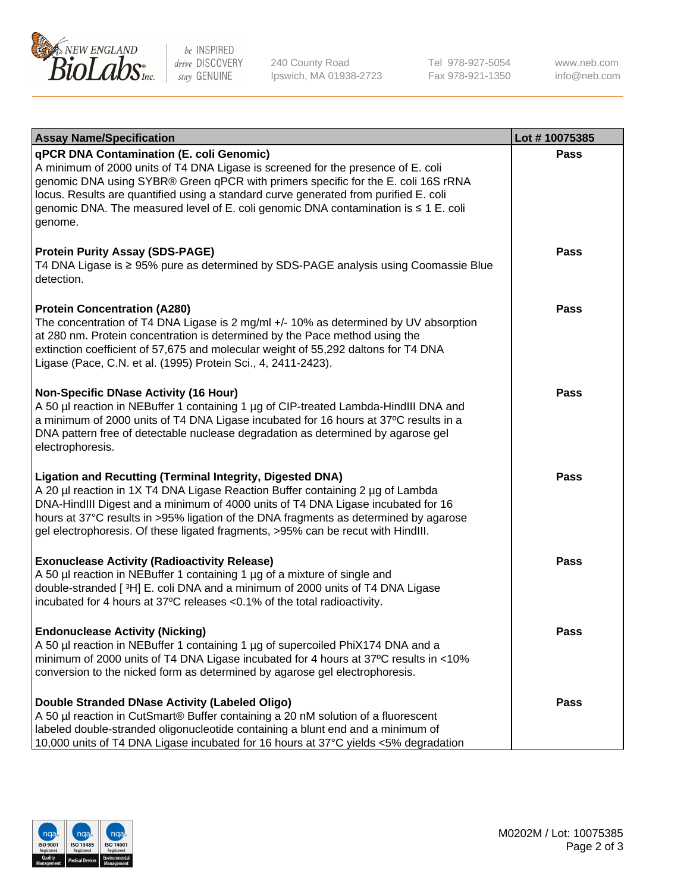

be INSPIRED drive DISCOVERY stay GENUINE

240 County Road Ipswich, MA 01938-2723 Tel 978-927-5054 Fax 978-921-1350 www.neb.com info@neb.com

| <b>Assay Name/Specification</b>                                                                                                                                                                                                                                                                                                                                                                                    | Lot #10075385 |
|--------------------------------------------------------------------------------------------------------------------------------------------------------------------------------------------------------------------------------------------------------------------------------------------------------------------------------------------------------------------------------------------------------------------|---------------|
| qPCR DNA Contamination (E. coli Genomic)<br>A minimum of 2000 units of T4 DNA Ligase is screened for the presence of E. coli<br>genomic DNA using SYBR® Green qPCR with primers specific for the E. coli 16S rRNA<br>locus. Results are quantified using a standard curve generated from purified E. coli<br>genomic DNA. The measured level of E. coli genomic DNA contamination is ≤ 1 E. coli<br>genome.        | Pass          |
| <b>Protein Purity Assay (SDS-PAGE)</b><br>T4 DNA Ligase is ≥ 95% pure as determined by SDS-PAGE analysis using Coomassie Blue<br>detection.                                                                                                                                                                                                                                                                        | <b>Pass</b>   |
| <b>Protein Concentration (A280)</b><br>The concentration of T4 DNA Ligase is 2 mg/ml +/- 10% as determined by UV absorption<br>at 280 nm. Protein concentration is determined by the Pace method using the<br>extinction coefficient of 57,675 and molecular weight of 55,292 daltons for T4 DNA<br>Ligase (Pace, C.N. et al. (1995) Protein Sci., 4, 2411-2423).                                                  | Pass          |
| <b>Non-Specific DNase Activity (16 Hour)</b><br>A 50 µl reaction in NEBuffer 1 containing 1 µg of CIP-treated Lambda-HindIII DNA and<br>a minimum of 2000 units of T4 DNA Ligase incubated for 16 hours at 37°C results in a<br>DNA pattern free of detectable nuclease degradation as determined by agarose gel<br>electrophoresis.                                                                               | Pass          |
| <b>Ligation and Recutting (Terminal Integrity, Digested DNA)</b><br>A 20 µl reaction in 1X T4 DNA Ligase Reaction Buffer containing 2 µg of Lambda<br>DNA-HindIII Digest and a minimum of 4000 units of T4 DNA Ligase incubated for 16<br>hours at 37°C results in >95% ligation of the DNA fragments as determined by agarose<br>gel electrophoresis. Of these ligated fragments, >95% can be recut with HindIII. | <b>Pass</b>   |
| <b>Exonuclease Activity (Radioactivity Release)</b><br>A 50 µl reaction in NEBuffer 1 containing 1 µg of a mixture of single and<br>double-stranded [3H] E. coli DNA and a minimum of 2000 units of T4 DNA Ligase<br>incubated for 4 hours at 37°C releases <0.1% of the total radioactivity.                                                                                                                      | <b>Pass</b>   |
| <b>Endonuclease Activity (Nicking)</b><br>A 50 µl reaction in NEBuffer 1 containing 1 µg of supercoiled PhiX174 DNA and a<br>minimum of 2000 units of T4 DNA Ligase incubated for 4 hours at 37°C results in <10%<br>conversion to the nicked form as determined by agarose gel electrophoresis.                                                                                                                   | Pass          |
| Double Stranded DNase Activity (Labeled Oligo)<br>A 50 µl reaction in CutSmart® Buffer containing a 20 nM solution of a fluorescent<br>labeled double-stranded oligonucleotide containing a blunt end and a minimum of<br>10,000 units of T4 DNA Ligase incubated for 16 hours at 37°C yields <5% degradation                                                                                                      | Pass          |